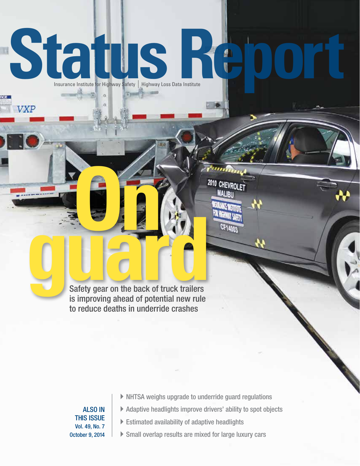# **INSURANCE INSURANCE INSTITUTE FOR Highway Safety | Highway Loss Data Institute**

**ITHER** 

**MALIBU** 

**CF14003** 

**Only gear on the back of truck trailers** is improving ahead of potential new rule to reduce deaths in underride crashes

> ALSO IN THIS ISSUE Vol. 49, No. 7 October 9, 2014

VXP

- $\triangleright$  NHTSA weighs upgrade to underride guard regulations
- $\blacktriangleright$  Adaptive headlights improve drivers' ability to spot objects
- $\blacktriangleright$  Estimated availability of adaptive headlights
- $\triangleright$  Small overlap results are mixed for large luxury cars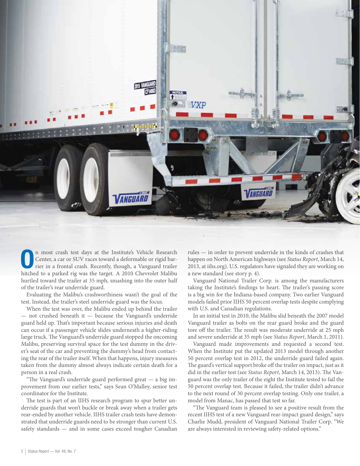

On most crash test days at the Institute's Vehicle Research<br>
Center, a car or SUV races toward a deformable or rigid bar-<br>
rier in a frontal crash. Recently, though, a Vanguard trailer Center, a car or SUV races toward a deformable or rigid barhitched to a parked rig was the target. A 2010 Chevrolet Malibu hurtled toward the trailer at 35 mph, smashing into the outer half of the trailer's rear underride guard.

Evaluating the Malibu's crashworthiness wasn't the goal of the test. Instead, the trailer's steel underride guard was the focus.

When the test was over, the Malibu ended up behind the trailer — not crushed beneath it — because the Vanguard's underride guard held up. That's important because serious injuries and death can occur if a passenger vehicle slides underneath a higher-riding large truck. The Vanguard's underride guard stopped the oncoming Malibu, preserving survival space for the test dummy in the driver's seat of the car and preventing the dummy's head from contacting the rear of the trailer itself. When that happens, injury measures taken from the dummy almost always indicate certain death for a person in a real crash.

"The Vanguard's underride guard performed great — a big improvement from our earlier tests," says Sean O'Malley, senior test coordinator for the Institute.

The test is part of an IIHS research program to spur better underride guards that won't buckle or break away when a trailer gets rear-ended by another vehicle. IIHS trailer crash tests have demonstrated that underride guards need to be stronger than current U.S. safety standards — and in some cases exceed tougher Canadian rules — in order to prevent underride in the kinds of crashes that happen on North American highways (see *Status Report*, March 14, 2013, at iihs.org). U.S. regulators have signaled they are working on a new standard (see story p. 4).

Vanguard National Trailer Corp. is among the manufacturers taking the Institute's findings to heart. The trailer's passing score is a big win for the Indiana-based company. Two earlier Vanguard models failed prior IIHS 50 percent overlap tests despite complying with U.S. and Canadian regulations.

In an initial test in 2010, the Malibu slid beneath the 2007 model Vanguard trailer as bolts on the rear guard broke and the guard tore off the trailer. The result was moderate underride at 25 mph and severe underride at 35 mph (see *Status Report*, March 1, 2011).

Vanguard made improvements and requested a second test. When the Institute put the updated 2013 model through another 50 percent overlap test in 2012, the underride guard failed again. The guard's vertical support broke off the trailer on impact, just as it did in the earlier test (see *Status Report*, March 14, 2013). The Vanguard was the only trailer of the eight the Institute tested to fail the 50 percent overlap test. Because it failed, the trailer didn't advance to the next round of 30 percent overlap testing. Only one trailer, a model from Manac, has passed that test so far.

"The Vanguard team is pleased to see a positive result from the recent IIHS test of a new Vanguard rear-impact guard design," says Charlie Mudd, president of Vanguard National Trailer Corp. "We are always interested in reviewing safety-related options."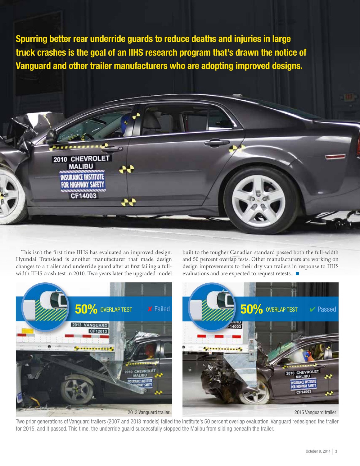Spurring better rear underride guards to reduce deaths and injuries in large truck crashes is the goal of an IIHS research program that's drawn the notice of Vanguard and other trailer manufacturers who are adopting improved designs.



This isn't the first time IIHS has evaluated an improved design. Hyundai Translead is another manufacturer that made design changes to a trailer and underride guard after at first failing a fullwidth IIHS crash test in 2010. Two years later the upgraded model

built to the tougher Canadian standard passed both the full-width and 50 percent overlap tests. Other manufacturers are working on design improvements to their dry van trailers in response to IIHS evaluations and are expected to request retests.  $\blacksquare$ 



Two prior generations of Vanguard trailers (2007 and 2013 models) failed the Institute's 50 percent overlap evaluation. Vanguard redesigned the trailer for 2015, and it passed. This time, the underride guard successfully stopped the Malibu from sliding beneath the trailer.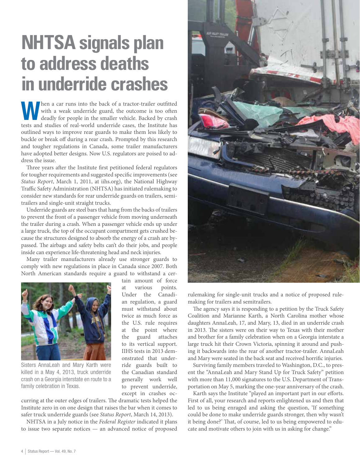## **NHTSA signals plan to address deaths in underride crashes**

When a car runs into the back of a tractor-trailer outfitted with a weak underride guard, the outcome is too often deadly for people in the smaller vehicle. Backed by crash tests and studies of real-world underride cases, the Institute has outlined ways to improve rear guards to make them less likely to buckle or break off during a rear crash. Prompted by this research and tougher regulations in Canada, some trailer manufacturers have adopted better designs. Now U.S. regulators are poised to address the issue.

Three years after the Institute first petitioned federal regulators for tougher requirements and suggested specific improvements (see *Status Report*, March 1, 2011, at iihs.org), the National Highway Traffic Safety Administration (NHTSA) has initiated rulemaking to consider new standards for rear underride guards on trailers, semitrailers and single-unit straight trucks.

Underride guards are steel bars that hang from the backs of trailers to prevent the front of a passenger vehicle from moving underneath the trailer during a crash. When a passenger vehicle ends up under a large truck, the top of the occupant compartment gets crushed because the structures designed to absorb the energy of a crash are bypassed. The airbags and safety belts can't do their jobs, and people inside can experience life-threatening head and neck injuries.

Many trailer manufacturers already use stronger guards to comply with new regulations in place in Canada since 2007. Both North American standards require a guard to withstand a cer-



Sisters AnnaLeah and Mary Karth were killed in a May 4, 2013, truck underride crash on a Georgia interstate en route to a family celebration in Texas.

tain amount of force at various points. Under the Canadian regulation, a guard must withstand about twice as much force as the U.S. rule requires at the point where the guard attaches to its vertical support. IIHS tests in 2013 demonstrated that underride guards built to the Canadian standard generally work well to prevent underride, except in crashes oc-

curring at the outer edges of trailers. The dramatic tests helped the Institute zero in on one design that raises the bar when it comes to safer truck underride guards (see *Status Report*, March 14, 2013).

NHTSA in a July notice in the *Federal Register* indicated it plans to issue two separate notices — an advanced notice of proposed



rulemaking for single-unit trucks and a notice of proposed rulemaking for trailers and semitrailers.

The agency says it is responding to a petition by the Truck Safety Coalition and Marianne Karth, a North Carolina mother whose daughters AnnaLeah, 17, and Mary, 13, died in an underride crash in 2013. The sisters were on their way to Texas with their mother and brother for a family celebration when on a Georgia interstate a large truck hit their Crown Victoria, spinning it around and pushing it backwards into the rear of another tractor-trailer. AnnaLeah and Mary were seated in the back seat and received horrific injuries.

Surviving family members traveled to Washington, D.C., to present the "AnnaLeah and Mary Stand Up for Truck Safety" petition with more than 11,000 signatures to the U.S. Department of Transportation on May 5, marking the one-year anniversary of the crash.

Karth says the Institute "played an important part in our efforts. First of all, your research and reports enlightened us and then that led to us being enraged and asking the question, 'If something could be done to make underride guards stronger, then why wasn't it being done?' That, of course, led to us being empowered to educate and motivate others to join with us in asking for change."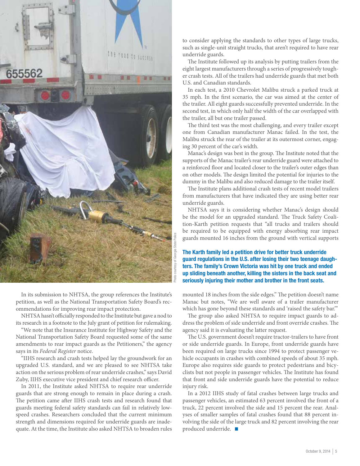

In its submission to NHTSA, the group references the Institute's petition, as well as the National Transportation Safety Board's recommendations for improving rear impact protection.

NHTSA hasn't officially responded to the Institute but gave a nod to its research in a footnote to the July grant of petition for rulemaking.

"We note that the Insurance Institute for Highway Safety and the National Transportation Safety Board requested some of the same amendments to rear impact guards as the Petitioners," the agency says in its *Federal Register* notice.

"IIHS research and crash tests helped lay the groundwork for an upgraded U.S. standard, and we are pleased to see NHTSA take action on the serious problem of rear underride crashes," says David Zuby, IIHS executive vice president and chief research officer.

In 2011, the Institute asked NHTSA to require rear underride guards that are strong enough to remain in place during a crash. The petition came after IIHS crash tests and research found that guards meeting federal safety standards can fail in relatively lowspeed crashes. Researchers concluded that the current minimum strength and dimensions required for underride guards are inadequate. At the time, the Institute also asked NHTSA to broaden rules

to consider applying the standards to other types of large trucks, such as single-unit straight trucks, that aren't required to have rear underride guards.

The Institute followed up its analysis by putting trailers from the eight largest manufacturers through a series of progressively tougher crash tests. All of the trailers had underride guards that met both U.S. and Canadian standards.

In each test, a 2010 Chevrolet Malibu struck a parked truck at 35 mph. In the first scenario, the car was aimed at the center of the trailer. All eight guards successfully prevented underride. In the second test, in which only half the width of the car overlapped with the trailer, all but one trailer passed.

The third test was the most challenging, and every trailer except one from Canadian manufacturer Manac failed. In the test, the Malibu struck the rear of the trailer at its outermost corner, engaging 30 percent of the car's width.

Manac's design was best in the group. The Institute noted that the supports of the Manac trailer's rear underride guard were attached to a reinforced floor and located closer to the trailer's outer edges than on other models. The design limited the potential for injuries to the dummy in the Malibu and also reduced damage to the trailer itself.

The Institute plans additional crash tests of recent model trailers from manufacturers that have indicated they are using better rear underride guards.

NHTSA says it is considering whether Manac's design should be the model for an upgraded standard. The Truck Safety Coalition-Karth petition requests that "all trucks and trailers should be required to be equipped with energy absorbing rear impact guards mounted 16 inches from the ground with vertical supports

The Karth family led a petition drive for better truck underride guard regulations in the U.S. after losing their two teenage daughters. The family's Crown Victoria was hit by one truck and ended up sliding beneath another, killing the sisters in the back seat and seriously injuring their mother and brother in the front seats.

mounted 18 inches from the side edges." The petition doesn't name Manac but notes, "We are well aware of a trailer manufacturer which has gone beyond these standards and 'raised the safety bar.'"

The group also asked NHTSA to require impact guards to address the problem of side underride and front override crashes. The agency said it is evaluating the latter request.

The U.S. government doesn't require tractor-trailers to have front or side underride guards. In Europe, front underride guards have been required on large trucks since 1994 to protect passenger vehicle occupants in crashes with combined speeds of about 35 mph. Europe also requires side guards to protect pedestrians and bicyclists but not people in passenger vehicles. The Institute has found that front and side underride guards have the potential to reduce injury risk.

In a 2012 IIHS study of fatal crashes between large trucks and passenger vehicles, an estimated 63 percent involved the front of a truck, 22 percent involved the side and 15 percent the rear. Analyses of smaller samples of fatal crashes found that 88 percent involving the side of the large truck and 82 percent involving the rear produced underride.  $\blacksquare$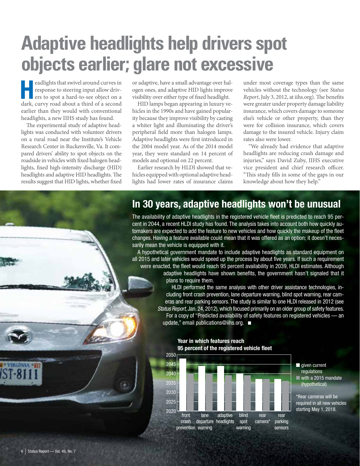## **Adaptive headlights help drivers spot objects earlier; glare not excessive**

eadlights that swivel around curves in<br>
response to steering input allow driv-<br>
ers to spot a hard-to-see object on a<br>
driven means and charge third of a proper response to steering input allow drivdark, curvy road about a third of a second earlier than they would with conventional headlights, a new IIHS study has found.

The experimental study of adaptive headlights was conducted with volunteer drivers on a rural road near the Institute's Vehicle Research Center in Ruckersville, Va. It compared drivers' ability to spot objects on the roadside in vehicles with fixed halogen headlights, fixed high-intensity discharge (HID) headlights and adaptive HID headlights. The results suggest that HID lights, whether fixed

or adaptive, have a small advantage over halogen ones, and adaptive HID lights improve visibility over either type of fixed headlight.

HID lamps began appearing in luxury vehicles in the 1990s and have gained popularity because they improve visibility by casting a whiter light and illuminating the driver's peripheral field more than halogen lamps. Adaptive headlights were first introduced in the 2004 model year. As of the 2014 model year, they were standard on 14 percent of models and optional on 22 percent.

Earlier research by HLDI showed that vehicles equipped with optional adaptive headlights had lower rates of insurance claims under most coverage types than the same vehicles without the technology (see *Status Report*, July 3, 2012, at iihs.org). The benefits were greater under property damage liability insurance, which covers damage to someone else's vehicle or other property, than they were for collision insurance, which covers damage to the insured vehicle. Injury claim rates also were lower.

"We already had evidence that adaptive headlights are reducing crash damage and injuries," says David Zuby, IIHS executive vice president and chief research officer. "This study fills in some of the gaps in our knowledge about how they help."

### In 30 years, adaptive headlights won't be unusual

The availability of adaptive headlights in the registered vehicle fleet is predicted to reach 95 percent in 2044, a recent HLDI study has found. The analysis takes into account both how quickly automakers are expected to add the feature to new vehicles and how quickly the makeup of the fleet changes. Having a feature available could mean that it was offered as an option; it doesn't necessarily mean the vehicle is equipped with it.

A hypothetical government mandate to include adaptive headlights as standard equipment on all 2015 and later vehicles would speed up the process by about five years. If such a requirement were enacted, the fleet would reach 95 percent availability in 2039, HLDI estimates. Although adaptive headlights have shown benefits, the government hasn't signaled that it plans to require them.

HLDI performed the same analysis with other driver assistance technologies, including front crash prevention, lane departure warning, blind spot warning, rear cameras and rear parking sensors. The study is similar to one HLDI released in 2012 (see Status Report, Jan. 24, 2012), which focused primarily on an older group of safety features. For a copy of "Predicted availability of safety features on registered vehicles — an update," email publications@iihs.org.  $\blacksquare$ 



#### Year in which features reach 95 percent of the registered vehicle fleet

■ given current ■ with a 2015 mandate regulations (hypothetical)

\*Rear cameras will be required in all new vehicles starting May 1, 2018.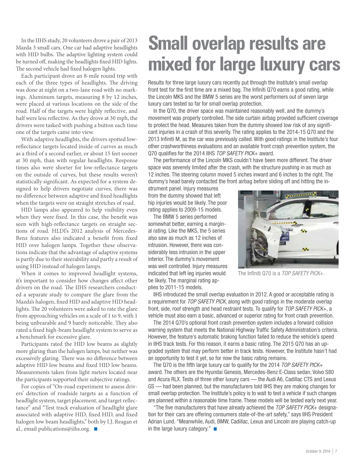In the IIHS study, 20 volunteers drove a pair of 2013 Mazda 3 small cars. One car had adaptive headlights with HID bulbs. The adaptive lighting system could be turned off, making the headlights fixed HID lights. The second vehicle had fixed halogen lights.

Each participant drove an 8-mile round trip with each of the three types of headlights. The driving was done at night on a two-lane road with no markings. Aluminum targets, measuring 8 by 12 inches, were placed at various locations on the side of the road. Half of the targets were highly reflective, and half were less reflective. As they drove at 30 mph, the drivers were tasked with pushing a button each time one of the targets came into view.

With adaptive headlights, the drivers spotted lowreflectance targets located inside of curves as much as a third of a second earlier, or about 15 feet sooner at 30 mph, than with regular headlights. Response times also were shorter for low-reflectance targets on the outside of curves, but these results weren't statistically significant. As expected for a system designed to help drivers negotiate curves, there was no difference between adaptive and fixed headlights when the targets were on straight stretches of road.

HID lamps also appeared to help visibility even when they were fixed. In this case, the benefit was seen with high-reflectance targets on straight sections of road. HLDI's 2012 analysis of Mercedes-Benz features also indicated a benefit from fixed HID over halogen lamps. Together these observations indicate that the advantage of adaptive systems is partly due to their steerability and partly a result of using HID instead of halogen lamps.

When it comes to improved headlight systems, it's important to consider how changes affect other drivers on the road. The IIHS researchers conducted a separate study to compare the glare from the Mazda's halogen, fixed HID and adaptive HID headlights. The 20 volunteers were asked to rate the glare from approaching vehicles on a scale of 1 to 9, with 1 being unbearable and 9 barely noticeable. They also rated a fixed high-beam headlight system to serve as a benchmark for excessive glare.

Participants rated the HID low beams as slightly more glaring than the halogen lamps, but neither was excessively glaring. There was no difference between adaptive HID low beams and fixed HID low beams. Measurements taken from light meters located near the participants supported their subjective ratings.

For copies of "On-road experiment to assess drivers' detection of roadside targets as a function of headlight system, target placement, and target reflectance" and "Test track evaluation of headlight glare associated with adaptive HID, fixed HID, and fixed halogen low beam headlights," both by I.J. Reagan et al., email publications@iihs.org.  $\blacksquare$ 

## **Small overlap results are mixed for large luxury cars**

Results for three large luxury cars recently put through the Institute's small overlap front test for the first time are a mixed bag. The Infiniti Q70 earns a good rating, while the Lincoln MKS and the BMW 5 series are the worst performers out of seven large luxury cars tested so far for small overlap protection.

In the Q70, the driver space was maintained reasonably well, and the dummy's movement was properly controlled. The side curtain airbag provided sufficient coverage to protect the head. Measures taken from the dummy showed low risk of any significant injuries in a crash of this severity. The rating applies to the 2014-15 Q70 and the 2013 Infiniti M, as the car was previously called. With good ratings in the Institute's four other crashworthiness evaluations and an available front crash prevention system, the Q70 qualifies for the 2014 IIHS TOP SAFETY PICK+ award.

The performance of the Lincoln MKS couldn't have been more different. The driver space was severely limited after the crash, with the structure pushing in as much as 12 inches. The steering column moved 5 inches inward and 6 inches to the right. The dummy's head barely contacted the front airbag before sliding off and hitting the in-

strument panel. Injury measures from the dummy showed that left hip injuries would be likely. The poor rating applies to 2009-15 models.

The BMW 5 series performed somewhat better, earning a marginal rating. Like the MKS, the 5 series also saw as much as 12 inches of intrusion. However, there was considerably less intrusion in the upper interior. The dummy's movement was well controlled. Injury measures indicated that left leg injuries would be likely. The marginal rating applies to 2011-15 models.



The Infiniti Q70 is a TOP SAFETY PICK+.

IIHS introduced the small overlap evaluation in 2012. A good or acceptable rating is a requirement for TOP SAFETY PICK, along with good ratings in the moderate overlap front, side, roof strength and head restraint tests. To qualify for TOP SAFETY PICK+, a vehicle must also earn a basic, advanced or superior rating for front crash prevention.

The 2014 Q70's optional front crash prevention system includes a forward collision warning system that meets the National Highway Traffic Safety Administration's criteria. However, the feature's automatic braking function failed to reduce the vehicle's speed in IIHS track tests. For this reason, it earns a basic rating. The 2015 Q70 has an upgraded system that may perform better in track tests. However, the Institute hasn't had an opportunity to test it yet, so for now the basic rating remains.

The Q70 is the fifth large luxury car to qualify for the 2014 TOP SAFETY PICK+ award. The others are the Hyundai Genesis, Mercedes-Benz E-Class sedan, Volvo S80 and Acura RLX. Tests of three other luxury cars — the Audi A6, Cadillac CTS and Lexus GS — had been planned, but the manufacturers told IIHS they are making changes for small overlap protection. The Institute's policy is to wait to test a vehicle if such changes are planned within a reasonable time frame. These models will be tested early next year.

"The five manufacturers that have already achieved the TOP SAFETY PICK+ designation for their cars are offering consumers state-of-the-art safety," says IIHS President Adrian Lund. "Meanwhile, Audi, BMW, Cadillac, Lexus and Lincoln are playing catch-up in the large luxury category." $\blacksquare$